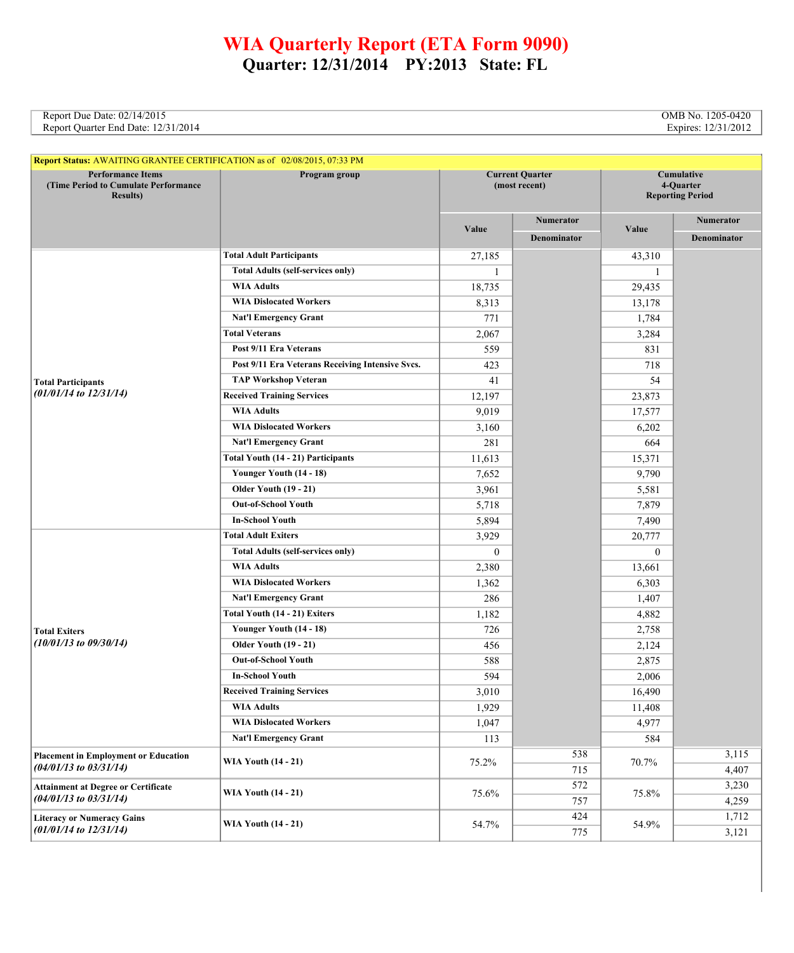## **WIA Quarterly Report (ETA Form 9090) Quarter: 12/31/2014 PY:2013 State: FL**

Report Due Date: 02/14/2015 **OMB No. 1205-0420**<br>Report Quarter End Date: 12/31/2014 **Cancer End Date: 12/31/2014** Report Quarter End Date: 12/31/2014

| Report Status: AWAITING GRANTEE CERTIFICATION as of 02/08/2015, 07:33 PM              |                                                  |                                         |                  |                                                    |                  |
|---------------------------------------------------------------------------------------|--------------------------------------------------|-----------------------------------------|------------------|----------------------------------------------------|------------------|
| <b>Performance Items</b><br>(Time Period to Cumulate Performance)<br><b>Results</b> ) | Program group                                    | <b>Current Quarter</b><br>(most recent) |                  | Cumulative<br>4-Quarter<br><b>Reporting Period</b> |                  |
|                                                                                       |                                                  |                                         | <b>Numerator</b> |                                                    | <b>Numerator</b> |
|                                                                                       |                                                  | Value                                   | Denominator      | Value                                              | Denominator      |
|                                                                                       | <b>Total Adult Participants</b>                  | 27,185                                  |                  | 43,310                                             |                  |
|                                                                                       | <b>Total Adults (self-services only)</b>         | 1                                       |                  | 1                                                  |                  |
|                                                                                       | <b>WIA Adults</b>                                | 18,735                                  |                  | 29,435                                             |                  |
|                                                                                       | <b>WIA Dislocated Workers</b>                    | 8,313                                   |                  | 13,178                                             |                  |
|                                                                                       | <b>Nat'l Emergency Grant</b>                     | 771                                     |                  | 1,784                                              |                  |
|                                                                                       | <b>Total Veterans</b>                            | 2,067                                   |                  | 3,284                                              |                  |
|                                                                                       | Post 9/11 Era Veterans                           | 559                                     |                  | 831                                                |                  |
|                                                                                       | Post 9/11 Era Veterans Receiving Intensive Svcs. | 423                                     |                  | 718                                                |                  |
| <b>Total Participants</b>                                                             | <b>TAP Workshop Veteran</b>                      | 41                                      |                  | 54                                                 |                  |
| $(01/01/14$ to $12/31/14)$                                                            | <b>Received Training Services</b>                | 12,197                                  |                  | 23,873                                             |                  |
|                                                                                       | <b>WIA Adults</b>                                | 9,019                                   |                  | 17,577                                             |                  |
|                                                                                       | <b>WIA Dislocated Workers</b>                    | 3,160                                   |                  | 6,202                                              |                  |
|                                                                                       | <b>Nat'l Emergency Grant</b>                     | 281                                     |                  | 664                                                |                  |
|                                                                                       | Total Youth (14 - 21) Participants               | 11,613                                  |                  | 15,371                                             |                  |
|                                                                                       | Younger Youth (14 - 18)                          | 7,652                                   |                  | 9,790                                              |                  |
|                                                                                       | <b>Older Youth (19 - 21)</b>                     | 3,961                                   |                  | 5,581                                              |                  |
|                                                                                       | <b>Out-of-School Youth</b>                       | 5,718                                   |                  | 7,879                                              |                  |
|                                                                                       | <b>In-School Youth</b>                           | 5,894                                   |                  | 7,490                                              |                  |
|                                                                                       | <b>Total Adult Exiters</b>                       | 3,929                                   |                  | 20,777                                             |                  |
|                                                                                       | <b>Total Adults (self-services only)</b>         | $\mathbf{0}$                            |                  | $\mathbf{0}$                                       |                  |
|                                                                                       | <b>WIA Adults</b>                                | 2,380                                   |                  | 13,661                                             |                  |
|                                                                                       | <b>WIA Dislocated Workers</b>                    | 1,362                                   |                  | 6,303                                              |                  |
| <b>Total Exiters</b><br>$(10/01/13$ to 09/30/14)                                      | <b>Nat'l Emergency Grant</b>                     | 286                                     |                  | 1,407                                              |                  |
|                                                                                       | Total Youth (14 - 21) Exiters                    | 1,182                                   |                  | 4,882                                              |                  |
|                                                                                       | Younger Youth (14 - 18)                          | 726                                     |                  | 2,758                                              |                  |
|                                                                                       | <b>Older Youth (19 - 21)</b>                     | 456                                     |                  | 2,124                                              |                  |
|                                                                                       | <b>Out-of-School Youth</b>                       | 588                                     |                  | 2,875                                              |                  |
|                                                                                       | <b>In-School Youth</b>                           | 594                                     |                  | 2,006                                              |                  |
|                                                                                       | <b>Received Training Services</b>                | 3,010                                   |                  | 16,490                                             |                  |
|                                                                                       | <b>WIA Adults</b>                                | 1,929                                   |                  | 11,408                                             |                  |
|                                                                                       | <b>WIA Dislocated Workers</b>                    | 1,047                                   |                  | 4,977                                              |                  |
|                                                                                       | <b>Nat'l Emergency Grant</b>                     | 113                                     |                  | 584                                                |                  |
| <b>Placement in Employment or Education</b><br>$(04/01/13$ to $03/31/14)$             | <b>WIA Youth (14 - 21)</b>                       | 75.2%                                   | 538              | 70.7%                                              | 3,115            |
|                                                                                       |                                                  |                                         | 715              |                                                    | 4,407            |
| <b>Attainment at Degree or Certificate</b>                                            |                                                  | 75.6%                                   | 572              | 75.8%                                              | 3,230            |
| $(04/01/13$ to $03/31/14)$                                                            | <b>WIA Youth (14 - 21)</b>                       |                                         | 757              |                                                    | 4,259            |
| <b>Literacy or Numeracy Gains</b>                                                     |                                                  |                                         | 424              |                                                    | 1,712            |
| $(01/01/14$ to $12/31/14)$                                                            | <b>WIA Youth (14 - 21)</b>                       | 54.7%                                   | 775              | 54.9%                                              | 3,121            |

L.

i,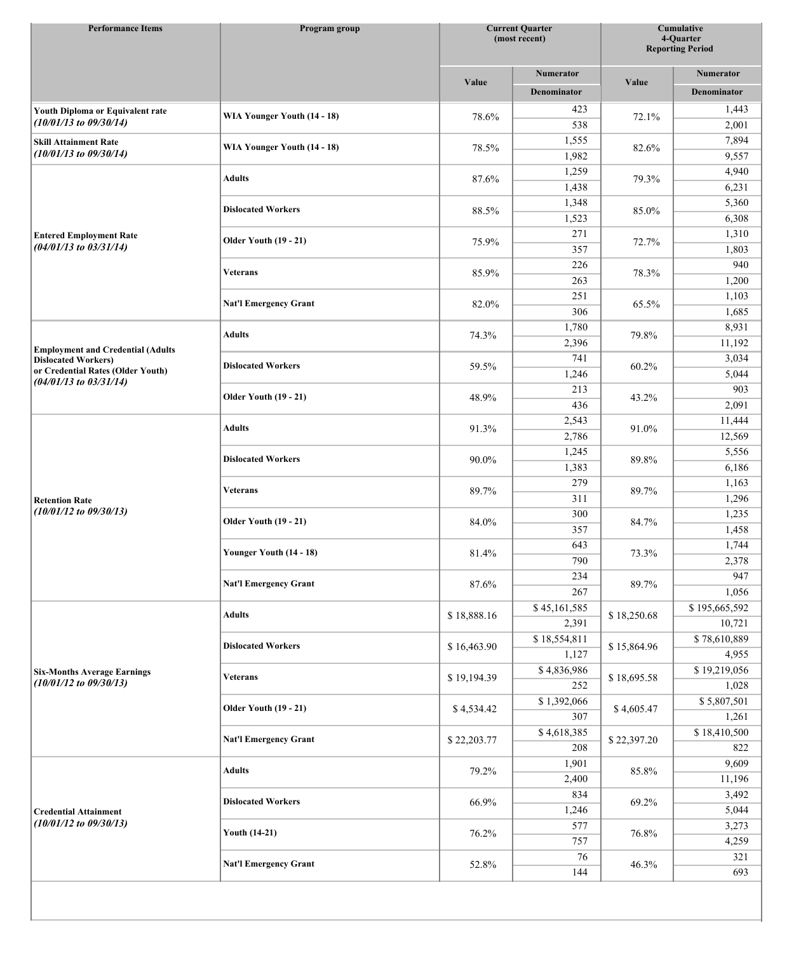| <b>Performance Items</b>                                         | Program group                |             | <b>Current Quarter</b><br>(most recent) |             | <b>Cumulative</b><br>4-Quarter<br><b>Reporting Period</b> |  |
|------------------------------------------------------------------|------------------------------|-------------|-----------------------------------------|-------------|-----------------------------------------------------------|--|
|                                                                  |                              |             | <b>Numerator</b>                        |             | <b>Numerator</b>                                          |  |
|                                                                  |                              | Value       | <b>Denominator</b>                      | Value       | Denominator                                               |  |
|                                                                  |                              |             |                                         |             |                                                           |  |
| Youth Diploma or Equivalent rate<br>$(10/01/13$ to $09/30/14)$   | WIA Younger Youth (14 - 18)  | 78.6%       | 423                                     | 72.1%       | 1,443                                                     |  |
|                                                                  |                              |             | 538                                     |             | 2,001                                                     |  |
| <b>Skill Attainment Rate</b><br>$(10/01/13$ to $09/30/14)$       | WIA Younger Youth (14 - 18)  | 78.5%       | 1,555                                   | 82.6%       | 7,894                                                     |  |
|                                                                  |                              |             | 1,982                                   |             | 9,557                                                     |  |
|                                                                  | <b>Adults</b>                | 87.6%       | 1,259                                   | 79.3%       | 4,940                                                     |  |
|                                                                  |                              |             | 1,438                                   |             | 6,231                                                     |  |
|                                                                  | <b>Dislocated Workers</b>    | 88.5%       | 1,348                                   | 85.0%       | 5,360                                                     |  |
|                                                                  |                              |             | 1,523                                   |             | 6,308                                                     |  |
| <b>Entered Employment Rate</b><br>$(04/01/13$ to $03/31/14)$     | <b>Older Youth (19 - 21)</b> | 75.9%       | 271                                     | 72.7%       | 1,310                                                     |  |
|                                                                  |                              |             | 357                                     |             | 1,803                                                     |  |
|                                                                  | <b>Veterans</b>              | 85.9%       | 226                                     | 78.3%       | 940                                                       |  |
|                                                                  |                              |             | 263                                     |             | 1,200                                                     |  |
|                                                                  | <b>Nat'l Emergency Grant</b> | 82.0%       | 251                                     | 65.5%       | 1,103                                                     |  |
|                                                                  |                              |             | 306                                     |             | 1,685                                                     |  |
|                                                                  | <b>Adults</b>                | 74.3%       | 1,780                                   | 79.8%       | 8,931                                                     |  |
| <b>Employment and Credential (Adults</b>                         |                              |             | 2,396                                   |             | 11,192                                                    |  |
| <b>Dislocated Workers)</b>                                       | <b>Dislocated Workers</b>    | 59.5%       | 741                                     | 60.2%       | 3,034                                                     |  |
| or Credential Rates (Older Youth)                                |                              |             | 1,246                                   |             | 5,044                                                     |  |
| $(04/01/13$ to $03/31/14)$                                       |                              |             | 213                                     |             | 903                                                       |  |
|                                                                  | <b>Older Youth (19 - 21)</b> | 48.9%       | 436                                     | 43.2%       | 2,091                                                     |  |
|                                                                  |                              |             | 2,543                                   | 91.0%       | 11,444                                                    |  |
|                                                                  | <b>Adults</b>                | 91.3%       | 2,786                                   |             | 12,569                                                    |  |
| <b>Retention Rate</b>                                            |                              | 90.0%       | 1,245                                   |             | 5,556                                                     |  |
|                                                                  | <b>Dislocated Workers</b>    |             | 1,383                                   | 89.8%       | 6,186                                                     |  |
|                                                                  |                              |             | 279                                     | 89.7%       | 1,163                                                     |  |
|                                                                  | <b>Veterans</b>              | 89.7%       | 311                                     |             | 1,296                                                     |  |
| $(10/01/12$ to $09/30/13)$                                       |                              |             | 300                                     | 84.7%       | 1,235                                                     |  |
|                                                                  | <b>Older Youth (19 - 21)</b> | 84.0%       | 357                                     |             | 1,458                                                     |  |
|                                                                  |                              |             | 643                                     | 73.3%       | 1,744                                                     |  |
|                                                                  | Younger Youth (14 - 18)      | 81.4%       | 790                                     |             | 2,378                                                     |  |
|                                                                  |                              | 87.6%       | 234                                     | 89.7%       | 947                                                       |  |
|                                                                  | <b>Nat'l Emergency Grant</b> |             |                                         |             |                                                           |  |
|                                                                  |                              |             | 267                                     |             | 1,056                                                     |  |
|                                                                  | <b>Adults</b>                | \$18,888.16 | \$45,161,585                            | \$18,250.68 | \$195,665,592                                             |  |
|                                                                  |                              |             | 2,391                                   |             | 10,721                                                    |  |
|                                                                  | <b>Dislocated Workers</b>    | \$16,463.90 | \$18,554,811                            | \$15,864.96 | \$78,610,889                                              |  |
|                                                                  |                              |             | 1,127                                   |             | 4,955                                                     |  |
| <b>Six-Months Average Earnings</b><br>$(10/01/12$ to $09/30/13)$ | Veterans                     | \$19,194.39 | \$4,836,986                             | \$18,695.58 | \$19,219,056                                              |  |
|                                                                  |                              |             | 252                                     |             | 1,028                                                     |  |
|                                                                  | <b>Older Youth (19 - 21)</b> | \$4,534.42  | \$1,392,066                             | \$4,605.47  | \$5,807,501                                               |  |
|                                                                  |                              |             | 307                                     |             | 1,261                                                     |  |
|                                                                  | <b>Nat'l Emergency Grant</b> | \$22,203.77 | \$4,618,385                             | \$22,397.20 | \$18,410,500                                              |  |
|                                                                  |                              |             | 208                                     |             | 822                                                       |  |
| <b>Credential Attainment</b><br>$(10/01/12$ to $09/30/13)$       | <b>Adults</b>                | 79.2%       | 1,901                                   | 85.8%       | 9,609                                                     |  |
|                                                                  |                              |             | 2,400                                   |             | 11,196                                                    |  |
|                                                                  | <b>Dislocated Workers</b>    | 66.9%       | 834                                     | 69.2%       | 3,492                                                     |  |
|                                                                  |                              |             | 1,246                                   |             | 5,044                                                     |  |
|                                                                  | <b>Youth (14-21)</b>         | 76.2%       | 577                                     | 76.8%       | 3,273                                                     |  |
|                                                                  |                              |             | 757                                     |             | 4,259                                                     |  |
|                                                                  |                              |             | 76                                      | 46.3%       | 321                                                       |  |
|                                                                  | <b>Nat'l Emergency Grant</b> | 52.8%       | 144                                     |             | 693                                                       |  |
|                                                                  |                              |             |                                         |             |                                                           |  |